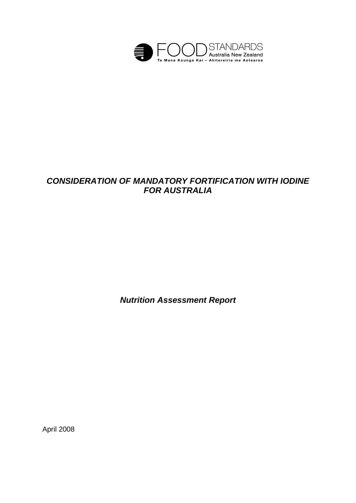

# *CONSIDERATION OF MANDATORY FORTIFICATION WITH IODINE FOR AUSTRALIA*

*Nutrition Assessment Report* 

April 2008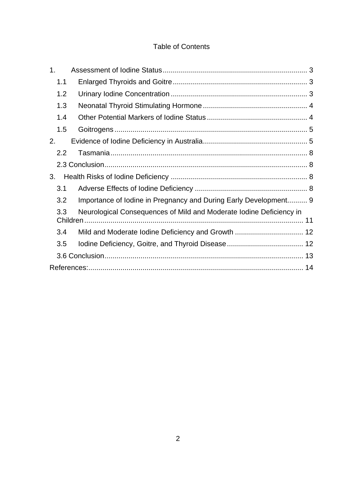## Table of Contents

| 1 <sub>1</sub> |                                                                     |
|----------------|---------------------------------------------------------------------|
| 1.1            |                                                                     |
| 1.2            |                                                                     |
| 1.3            |                                                                     |
| 1.4            |                                                                     |
| 1.5            |                                                                     |
| 2.             |                                                                     |
| 2.2            |                                                                     |
|                |                                                                     |
| 3.             |                                                                     |
| 3.1            |                                                                     |
| 3.2            | Importance of Iodine in Pregnancy and During Early Development 9    |
| 3.3            | Neurological Consequences of Mild and Moderate Iodine Deficiency in |
| 3.4            | Mild and Moderate Iodine Deficiency and Growth  12                  |
| 3.5            |                                                                     |
|                |                                                                     |
|                |                                                                     |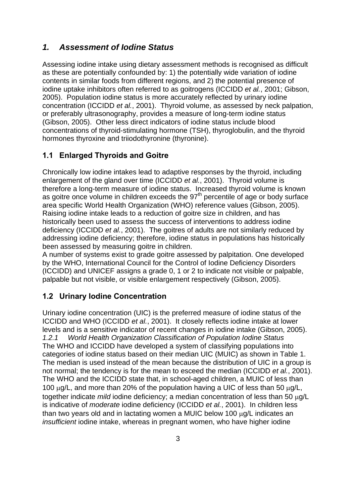## *1. Assessment of Iodine Status*

Assessing iodine intake using dietary assessment methods is recognised as difficult as these are potentially confounded by: 1) the potentially wide variation of iodine contents in similar foods from different regions, and 2) the potential presence of iodine uptake inhibitors often referred to as goitrogens (ICCIDD *et al.*, 2001; Gibson, 2005). Population iodine status is more accurately reflected by urinary iodine concentration (ICCIDD *et al.*, 2001). Thyroid volume, as assessed by neck palpation, or preferably ultrasonography, provides a measure of long-term iodine status (Gibson, 2005). Other less direct indicators of iodine status include blood concentrations of thyroid-stimulating hormone (TSH), thyroglobulin, and the thyroid hormones thyroxine and triiodothyronine (thyronine).

### **1.1 Enlarged Thyroids and Goitre**

Chronically low iodine intakes lead to adaptive responses by the thyroid, including enlargement of the gland over time (ICCIDD *et al.*, 2001). Thyroid volume is therefore a long-term measure of iodine status. Increased thyroid volume is known as goitre once volume in children exceeds the 97<sup>th</sup> percentile of age or body surface area specific World Health Organization (WHO) reference values (Gibson, 2005). Raising iodine intake leads to a reduction of goitre size in children, and has historically been used to assess the success of interventions to address iodine deficiency (ICCIDD *et al.*, 2001). The goitres of adults are not similarly reduced by addressing iodine deficiency; therefore, iodine status in populations has historically been assessed by measuring goitre in children.

A number of systems exist to grade goitre assessed by palpitation. One developed by the WHO, International Council for the Control of Iodine Deficiency Disorders (ICCIDD) and UNICEF assigns a grade 0, 1 or 2 to indicate not visible or palpable, palpable but not visible, or visible enlargement respectively (Gibson, 2005).

## **1.2 Urinary Iodine Concentration**

Urinary iodine concentration (UIC) is the preferred measure of iodine status of the ICCIDD and WHO (ICCIDD *et al.*, 2001). It closely reflects iodine intake at lower levels and is a sensitive indicator of recent changes in iodine intake (Gibson, 2005). *1.2.1 World Health Organization Classification of Population Iodine Status*  The WHO and ICCIDD have developed a system of classifying populations into categories of iodine status based on their median UIC (MUIC) as shown in Table 1. The median is used instead of the mean because the distribution of UIC in a group is not normal; the tendency is for the mean to esceed the median (ICCIDD *et al.*, 2001). The WHO and the ICCIDD state that, in school-aged children, a MUIC of less than 100 μg/L, and more than 20% of the population having a UIC of less than 50 μg/L, together indicate *mild* iodine deficiency; a median concentration of less than 50 μg/L is indicative of *moderate* iodine deficiency (ICCIDD *et al.*, 2001). In children less than two years old and in lactating women a MUIC below 100 μg/L indicates an *insufficient iodine intake, whereas in pregnant women, who have higher iodine*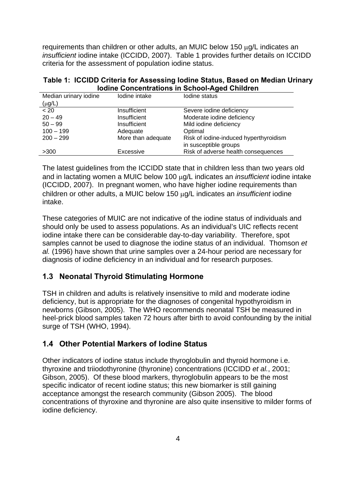requirements than children or other adults, an MUIC below 150 μg/L indicates an *insufficient* iodine intake (ICCIDD, 2007). Table 1 provides further details on ICCIDD criteria for the assessment of population iodine status.

|  |                                                      |  | Table 1: ICCIDD Criteria for Assessing Iodine Status, Based on Median Urinary |
|--|------------------------------------------------------|--|-------------------------------------------------------------------------------|
|  | <b>Iodine Concentrations in School-Aged Children</b> |  |                                                                               |

| Median urinary iodine | lodine intake<br>Iodine status |                                        |
|-----------------------|--------------------------------|----------------------------------------|
| $(\mu g/L)$           |                                |                                        |
| < 20                  | Insufficient                   | Severe iodine deficiency               |
| $20 - 49$             | Insufficient                   | Moderate iodine deficiency             |
| $50 - 99$             | Insufficient                   | Mild iodine deficiency                 |
| $100 - 199$           | Adequate                       | Optimal                                |
| $200 - 299$           | More than adequate             | Risk of iodine-induced hyperthyroidism |
|                       |                                | in susceptible groups                  |
| >300                  | Excessive                      | Risk of adverse health consequences    |

The latest guidelines from the ICCIDD state that in children less than two years old and in lactating women a MUIC below 100 μg/L indicates an *insufficient* iodine intake (ICCIDD, 2007). In pregnant women, who have higher iodine requirements than children or other adults, a MUIC below 150 μg/L indicates an *insufficient* iodine intake.

These categories of MUIC are not indicative of the iodine status of individuals and should only be used to assess populations. As an individual's UIC reflects recent iodine intake there can be considerable day-to-day variability. Therefore, spot samples cannot be used to diagnose the iodine status of an individual. Thomson *et al.* (1996) have shown that urine samples over a 24-hour period are necessary for diagnosis of iodine deficiency in an individual and for research purposes.

### **1.3 Neonatal Thyroid Stimulating Hormone**

TSH in children and adults is relatively insensitive to mild and moderate iodine deficiency, but is appropriate for the diagnoses of congenital hypothyroidism in newborns (Gibson, 2005). The WHO recommends neonatal TSH be measured in heel-prick blood samples taken 72 hours after birth to avoid confounding by the initial surge of TSH (WHO, 1994).

## **1.4 Other Potential Markers of Iodine Status**

Other indicators of iodine status include thyroglobulin and thyroid hormone i.e. thyroxine and triiodothyronine (thyronine) concentrations (ICCIDD *et al.*, 2001; Gibson, 2005). Of these blood markers, thyroglobulin appears to be the most specific indicator of recent iodine status; this new biomarker is still gaining acceptance amongst the research community (Gibson 2005). The blood concentrations of thyroxine and thyronine are also quite insensitive to milder forms of iodine deficiency.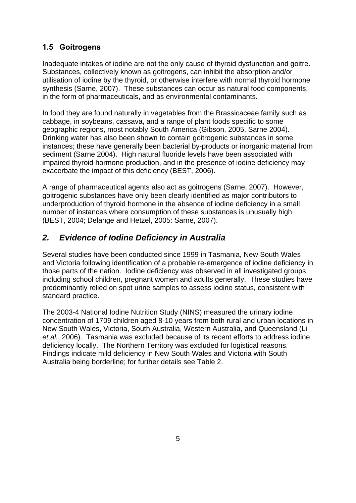## **1.5 Goitrogens**

Inadequate intakes of iodine are not the only cause of thyroid dysfunction and goitre. Substances, collectively known as goitrogens, can inhibit the absorption and/or utilisation of iodine by the thyroid, or otherwise interfere with normal thyroid hormone synthesis (Sarne, 2007). These substances can occur as natural food components, in the form of pharmaceuticals, and as environmental contaminants.

In food they are found naturally in vegetables from the Brassicaceae family such as cabbage, in soybeans, cassava, and a range of plant foods specific to some geographic regions, most notably South America (Gibson, 2005, Sarne 2004). Drinking water has also been shown to contain goitrogenic substances in some instances; these have generally been bacterial by-products or inorganic material from sediment (Sarne 2004). High natural fluoride levels have been associated with impaired thyroid hormone production, and in the presence of iodine deficiency may exacerbate the impact of this deficiency (BEST, 2006).

A range of pharmaceutical agents also act as goitrogens (Sarne, 2007). However, goitrogenic substances have only been clearly identified as major contributors to underproduction of thyroid hormone in the absence of iodine deficiency in a small number of instances where consumption of these substances is unusually high (BEST, 2004; Delange and Hetzel, 2005: Sarne, 2007).

## *2. Evidence of Iodine Deficiency in Australia*

Several studies have been conducted since 1999 in Tasmania, New South Wales and Victoria following identification of a probable re-emergence of iodine deficiency in those parts of the nation. Iodine deficiency was observed in all investigated groups including school children, pregnant women and adults generally. These studies have predominantly relied on spot urine samples to assess iodine status, consistent with standard practice.

The 2003-4 National Iodine Nutrition Study (NINS) measured the urinary iodine concentration of 1709 children aged 8-10 years from both rural and urban locations in New South Wales, Victoria, South Australia, Western Australia, and Queensland (Li *et al.*, 2006). Tasmania was excluded because of its recent efforts to address iodine deficiency locally. The Northern Territory was excluded for logistical reasons. Findings indicate mild deficiency in New South Wales and Victoria with South Australia being borderline; for further details see Table 2.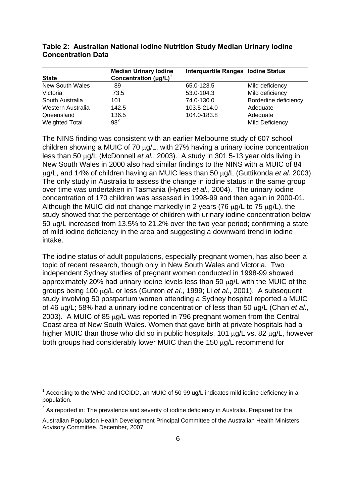| <b>State</b>          | <b>Median Urinary lodine</b><br>Concentration $(\mu g/L)^T$ | <b>Interquartile Ranges lodine Status</b> |                       |
|-----------------------|-------------------------------------------------------------|-------------------------------------------|-----------------------|
| New South Wales       | 89                                                          | 65.0-123.5                                | Mild deficiency       |
| Victoria              | 73.5                                                        | 53.0-104.3                                | Mild deficiency       |
| South Australia       | 101                                                         | 74.0-130.0                                | Borderline deficiency |
| Western Australia     | 142.5                                                       | 103.5-214.0                               | Adequate              |
| Queensland            | 136.5                                                       | 104.0-183.8                               | Adequate              |
| <b>Weighted Total</b> | $98^2$                                                      |                                           | Mild Deficiency       |

#### **Table 2: Australian National Iodine Nutrition Study Median Urinary Iodine Concentration Data**

The NINS finding was consistent with an earlier Melbourne study of 607 school children showing a MUIC of 70 μg/L, with 27% having a urinary iodine concentration less than 50 μg/L (McDonnell *et al.*, 2003). A study in 301 5-13 year olds living in New South Wales in 2000 also had similar findings to the NINS with a MUIC of 84 μg/L, and 14% of children having an MUIC less than 50 μg/L (Guttikonda *et al.* 2003). The only study in Australia to assess the change in iodine status in the same group over time was undertaken in Tasmania (Hynes *et al.*, 2004). The urinary iodine concentration of 170 children was assessed in 1998-99 and then again in 2000-01. Although the MUIC did not change markedly in 2 years (76 μg/L to 75 μg/L), the study showed that the percentage of children with urinary iodine concentration below 50 μg/L increased from 13.5% to 21.2% over the two year period; confirming a state of mild iodine deficiency in the area and suggesting a downward trend in iodine intake.

The iodine status of adult populations, especially pregnant women, has also been a topic of recent research, though only in New South Wales and Victoria. Two independent Sydney studies of pregnant women conducted in 1998-99 showed approximately 20% had urinary iodine levels less than 50 μg/L with the MUIC of the groups being 100 μg/L or less (Gunton *et al.*, 1999; Li *et al.*, 2001). A subsequent study involving 50 postpartum women attending a Sydney hospital reported a MUIC of 46 μg/L; 58% had a urinary iodine concentration of less than 50 μg/L (Chan *et al.*, 2003). A MUIC of 85 μg/L was reported in 796 pregnant women from the Central Coast area of New South Wales. Women that gave birth at private hospitals had a higher MUIC than those who did so in public hospitals, 101 μg/L vs. 82 μg/L, however both groups had considerably lower MUIC than the 150 μg/L recommend for

1

 $1$  According to the WHO and ICCIDD, an MUIC of 50-99 ug/L indicates mild iodine deficiency in a population.

 $2$  As reported in: The prevalence and severity of iodine deficiency in Australia. Prepared for the

Australian Population Health Development Principal Committee of the Australian Health Ministers Advisory Committee. December, 2007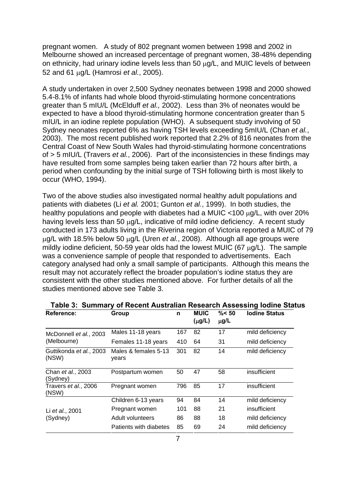pregnant women. A study of 802 pregnant women between 1998 and 2002 in Melbourne showed an increased percentage of pregnant women, 38-48% depending on ethnicity, had urinary iodine levels less than 50 μg/L, and MUIC levels of between 52 and 61 μg/L (Hamrosi *et al.*, 2005).

A study undertaken in over 2,500 Sydney neonates between 1998 and 2000 showed 5.4-8.1% of infants had whole blood thyroid-stimulating hormone concentrations greater than 5 mIU/L (McElduff *et al.,* 2002). Less than 3% of neonates would be expected to have a blood thyroid-stimulating hormone concentration greater than 5 mIU/L in an iodine replete population (WHO). A subsequent study involving of 50 Sydney neonates reported 6% as having TSH levels exceeding 5mIU/L (Chan *et al.*, 2003). The most recent published work reported that 2.2% of 816 neonates from the Central Coast of New South Wales had thyroid-stimulating hormone concentrations of > 5 mIU/L (Travers *et al.*, 2006). Part of the inconsistencies in these findings may have resulted from some samples being taken earlier than 72 hours after birth, a period when confounding by the initial surge of TSH following birth is most likely to occur (WHO, 1994).

Two of the above studies also investigated normal healthy adult populations and patients with diabetes (Li *et al.* 2001; Gunton *et al.*, 1999). In both studies, the healthy populations and people with diabetes had a MUIC <100 μg/L, with over 20% having levels less than 50 μg/L, indicative of mild iodine deficiency. A recent study conducted in 173 adults living in the Riverina region of Victoria reported a MUIC of 79 μg/L with 18.5% below 50 μg/L (Uren *et al.*, 2008). Although all age groups were mildly iodine deficient, 50-59 year olds had the lowest MUIC (67 μg/L). The sample was a convenience sample of people that responded to advertisements. Each category analysed had only a small sample of participants. Although this means the result may not accurately reflect the broader population's iodine status they are consistent with the other studies mentioned above. For further details of all the studies mentioned above see Table 3.

| Reference:                       | Group                         | n   | <b>MUIC</b><br>$(\mu g/L)$ | $\% < 50$<br>$\mu$ g/L | <b>Iodine Status</b> |
|----------------------------------|-------------------------------|-----|----------------------------|------------------------|----------------------|
| McDonnell et al., 2003           | Males 11-18 years             | 167 | 82                         | 17                     | mild deficiency      |
| (Melbourne)                      | Females 11-18 years           | 410 | 64                         | 31                     | mild deficiency      |
| Guttikonda et al., 2003<br>(NSW) | Males & females 5-13<br>vears | 301 | 82                         | 14                     | mild deficiency      |
| Chan et al., 2003<br>(Sydney)    | Postpartum women              | 50  | 47                         | 58                     | insufficient         |
| Travers et al., 2006<br>(NSW)    | Pregnant women                | 796 | 85                         | 17                     | insufficient         |
|                                  | Children 6-13 years           | 94  | 84                         | 14                     | mild deficiency      |
| Li et al., 2001                  | Pregnant women                | 101 | 88                         | 21                     | insufficient         |
| (Sydney)                         | Adult volunteers              | 86  | 88                         | 18                     | mild deficiency      |
|                                  | Patients with diabetes        | 85  | 69                         | 24                     | mild deficiency      |

|  |  | Table 3: Summary of Recent Australian Research Assessing Iodine Status |  |  |
|--|--|------------------------------------------------------------------------|--|--|
|--|--|------------------------------------------------------------------------|--|--|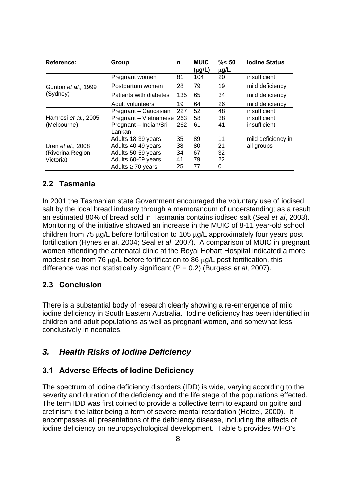| <b>Reference:</b>         | Group                  | n   | <b>MUIC</b> | $\% < 50$ | <b>Iodine Status</b> |
|---------------------------|------------------------|-----|-------------|-----------|----------------------|
|                           |                        |     | $(\mu g/L)$ | $\mu$ g/L |                      |
|                           | Pregnant women         | 81  | 104         | 20        | insufficient         |
| Gunton et al., 1999       | Postpartum women       | 28  | 79          | 19        | mild deficiency      |
| (Sydney)                  | Patients with diabetes | 135 | 65          | 34        | mild deficiency      |
|                           | Adult volunteers       | 19  | 64          | 26        | mild deficiency      |
|                           | Pregnant - Caucasian   | 227 | 52          | 48        | insufficient         |
| Hamrosi et al., 2005      | Pregnant - Vietnamese  | 263 | 58          | 38        | insufficient         |
| (Melbourne)               | Pregnant - Indian/Sri  | 262 | 61          | 41        | insufficient         |
|                           | Lankan                 |     |             |           |                      |
|                           | Adults 18-39 years     | 35  | 89          | 11        | mild deficiency in   |
| Uren <i>et al.</i> , 2008 | Adults 40-49 years     | 38  | 80          | 21        | all groups           |
| (Riverina Region          | Adults 50-59 years     | 34  | 67          | 32        |                      |
| Victoria)                 | Adults 60-69 years     | 41  | 79          | 22        |                      |
|                           | Adults $\geq 70$ years | 25  | 77          | 0         |                      |

#### **2.2 Tasmania**

In 2001 the Tasmanian state Government encouraged the voluntary use of iodised salt by the local bread industry through a memorandum of understanding; as a result an estimated 80% of bread sold in Tasmania contains iodised salt (Seal *et al*, 2003). Monitoring of the initiative showed an increase in the MUIC of 8-11 year-old school children from 75 μg/L before fortification to 105 μg/L approximately four years post fortification (Hynes *et al*, 2004; Seal *et al*, 2007). A comparison of MUIC in pregnant women attending the antenatal clinic at the Royal Hobart Hospital indicated a more modest rise from 76 μg/L before fortification to 86 μg/L post fortification, this difference was not statistically significant (*P* = 0.2) (Burgess *et al*, 2007).

#### **2.3 Conclusion**

There is a substantial body of research clearly showing a re-emergence of mild iodine deficiency in South Eastern Australia. Iodine deficiency has been identified in children and adult populations as well as pregnant women, and somewhat less conclusively in neonates.

## *3. Health Risks of Iodine Deficiency*

#### **3.1 Adverse Effects of Iodine Deficiency**

The spectrum of iodine deficiency disorders (IDD) is wide, varying according to the severity and duration of the deficiency and the life stage of the populations effected. The term IDD was first coined to provide a collective term to expand on goitre and cretinism; the latter being a form of severe mental retardation (Hetzel, 2000). It encompasses all presentations of the deficiency disease, including the effects of iodine deficiency on neuropsychological development. Table 5 provides WHO's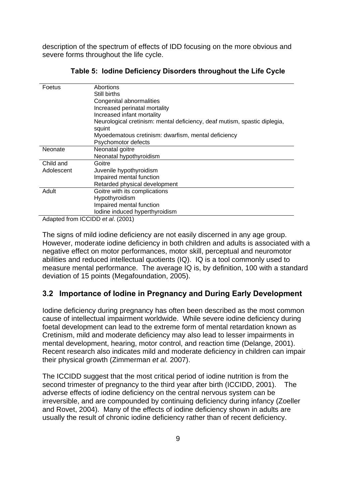description of the spectrum of effects of IDD focusing on the more obvious and severe forms throughout the life cycle.

| Foetus     | Abortions                                                                           |
|------------|-------------------------------------------------------------------------------------|
|            | Still births                                                                        |
|            | Congenital abnormalities                                                            |
|            | Increased perinatal mortality                                                       |
|            | Increased infant mortality                                                          |
|            | Neurological cretinism: mental deficiency, deaf mutism, spastic diplegia,<br>squint |
|            | Myoedematous cretinism: dwarfism, mental deficiency                                 |
|            | Psychomotor defects                                                                 |
| Neonate    | Neonatal goitre                                                                     |
|            | Neonatal hypothyroidism                                                             |
| Child and  | Goitre                                                                              |
| Adolescent | Juvenile hypothyroidism                                                             |
|            | Impaired mental function                                                            |
|            | Retarded physical development                                                       |
| Adult      | Goitre with its complications                                                       |
|            | Hypothyroidism                                                                      |
|            | Impaired mental function                                                            |
|            | lodine induced hyperthyroidism                                                      |
| $\cdots$   | $100155 + 10001$                                                                    |

**Table 5: Iodine Deficiency Disorders throughout the Life Cycle** 

Adapted from ICCIDD *et al*. (2001)

The signs of mild iodine deficiency are not easily discerned in any age group. However, moderate iodine deficiency in both children and adults is associated with a negative effect on motor performances, motor skill, perceptual and neuromotor abilities and reduced intellectual quotients (IQ). IQ is a tool commonly used to measure mental performance. The average IQ is, by definition, 100 with a standard deviation of 15 points (Megafoundation, 2005).

### **3.2 Importance of Iodine in Pregnancy and During Early Development**

Iodine deficiency during pregnancy has often been described as the most common cause of intellectual impairment worldwide. While severe iodine deficiency during foetal development can lead to the extreme form of mental retardation known as Cretinism, mild and moderate deficiency may also lead to lesser impairments in mental development, hearing, motor control, and reaction time (Delange, 2001). Recent research also indicates mild and moderate deficiency in children can impair their physical growth (Zimmerman *et al.* 2007).

The ICCIDD suggest that the most critical period of iodine nutrition is from the second trimester of pregnancy to the third year after birth (ICCIDD, 2001). The adverse effects of iodine deficiency on the central nervous system can be irreversible, and are compounded by continuing deficiency during infancy (Zoeller and Rovet, 2004). Many of the effects of iodine deficiency shown in adults are usually the result of chronic iodine deficiency rather than of recent deficiency.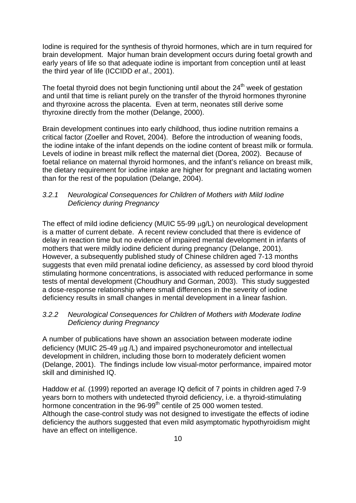Iodine is required for the synthesis of thyroid hormones, which are in turn required for brain development. Major human brain development occurs during foetal growth and early years of life so that adequate iodine is important from conception until at least the third year of life (ICCIDD *et al*., 2001).

The foetal thyroid does not begin functioning until about the  $24<sup>th</sup>$  week of gestation and until that time is reliant purely on the transfer of the thyroid hormones thyronine and thyroxine across the placenta. Even at term, neonates still derive some thyroxine directly from the mother (Delange, 2000).

Brain development continues into early childhood, thus iodine nutrition remains a critical factor (Zoeller and Rovet, 2004). Before the introduction of weaning foods, the iodine intake of the infant depends on the iodine content of breast milk or formula. Levels of iodine in breast milk reflect the maternal diet (Dorea, 2002). Because of foetal reliance on maternal thyroid hormones, and the infant's reliance on breast milk, the dietary requirement for iodine intake are higher for pregnant and lactating women than for the rest of the population (Delange, 2004).

#### *3.2.1 Neurological Consequences for Children of Mothers with Mild Iodine Deficiency during Pregnancy*

The effect of mild iodine deficiency (MUIC 55-99 μg/L) on neurological development is a matter of current debate. A recent review concluded that there is evidence of delay in reaction time but no evidence of impaired mental development in infants of mothers that were mildly iodine deficient during pregnancy (Delange, 2001). However, a subsequently published study of Chinese children aged 7-13 months suggests that even mild prenatal iodine deficiency, as assessed by cord blood thyroid stimulating hormone concentrations, is associated with reduced performance in some tests of mental development (Choudhury and Gorman, 2003). This study suggested a dose-response relationship where small differences in the severity of iodine deficiency results in small changes in mental development in a linear fashion.

#### *3.2.2 Neurological Consequences for Children of Mothers with Moderate Iodine Deficiency during Pregnancy*

A number of publications have shown an association between moderate iodine deficiency (MUIC 25-49 μg /L) and impaired psychoneuromotor and intellectual development in children, including those born to moderately deficient women (Delange, 2001). The findings include low visual-motor performance, impaired motor skill and diminished IQ.

Haddow *et al.* (1999) reported an average IQ deficit of 7 points in children aged 7-9 years born to mothers with undetected thyroid deficiency, i.e. a thyroid-stimulating hormone concentration in the 96-99<sup>th</sup> centile of 25 000 women tested. Although the case-control study was not designed to investigate the effects of iodine deficiency the authors suggested that even mild asymptomatic hypothyroidism might have an effect on intelligence.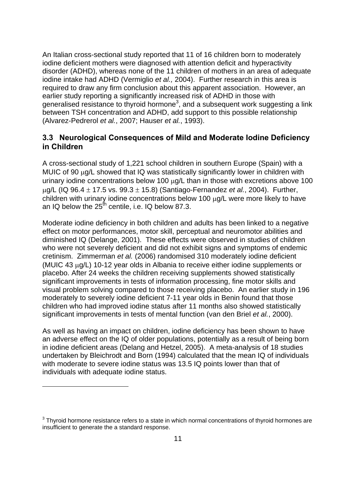An Italian cross-sectional study reported that 11 of 16 children born to moderately iodine deficient mothers were diagnosed with attention deficit and hyperactivity disorder (ADHD), whereas none of the 11 children of mothers in an area of adequate iodine intake had ADHD (Vermiglio *et al.,* 2004). Further research in this area is required to draw any firm conclusion about this apparent association. However, an earlier study reporting a significantly increased risk of ADHD in those with generalised resistance to thyroid hormone<sup>3</sup>, and a subsequent work suggesting a link between TSH concentration and ADHD, add support to this possible relationship (Alvarez-Pedrerol *et al.*, 2007; Hauser *et al.*, 1993).

### **3.3 Neurological Consequences of Mild and Moderate Iodine Deficiency in Children**

A cross-sectional study of 1,221 school children in southern Europe (Spain) with a MUIC of 90 μg/L showed that IQ was statistically significantly lower in children with urinary iodine concentrations below 100 μg/L than in those with excretions above 100 μg/L (IQ 96.4 ± 17.5 vs. 99.3 ± 15.8) (Santiago-Fernandez *et al.*, 2004). Further, children with urinary iodine concentrations below 100 μg/L were more likely to have an IQ below the  $25^{th}$  centile, i.e. IQ below 87.3.

Moderate iodine deficiency in both children and adults has been linked to a negative effect on motor performances, motor skill, perceptual and neuromotor abilities and diminished IQ (Delange, 2001). These effects were observed in studies of children who were not severely deficient and did not exhibit signs and symptoms of endemic cretinism. Zimmerman *et al.* (2006) randomised 310 moderately iodine deficient (MUIC 43 μg/L) 10-12 year olds in Albania to receive either iodine supplements or placebo. After 24 weeks the children receiving supplements showed statistically significant improvements in tests of information processing, fine motor skills and visual problem solving compared to those receiving placebo. An earlier study in 196 moderately to severely iodine deficient 7-11 year olds in Benin found that those children who had improved iodine status after 11 months also showed statistically significant improvements in tests of mental function (van den Briel *et al.*, 2000).

As well as having an impact on children, iodine deficiency has been shown to have an adverse effect on the IQ of older populations, potentially as a result of being born in iodine deficient areas (Delang and Hetzel, 2005). A meta-analysis of 18 studies undertaken by Bleichrodt and Born (1994) calculated that the mean IQ of individuals with moderate to severe iodine status was 13.5 IQ points lower than that of individuals with adequate iodine status.

1

 $3$  Thyroid hormone resistance refers to a state in which normal concentrations of thyroid hormones are insufficient to generate the a standard response.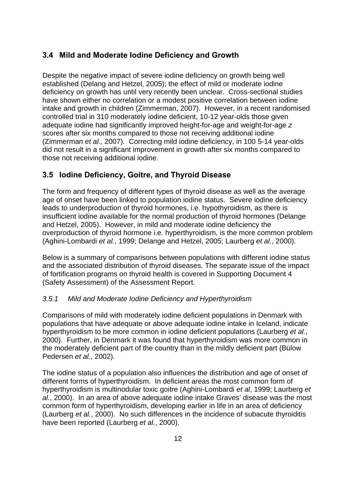## **3.4 Mild and Moderate Iodine Deficiency and Growth**

Despite the negative impact of severe iodine deficiency on growth being well established (Delang and Hetzel, 2005); the effect of mild or moderate iodine deficiency on growth has until very recently been unclear. Cross-sectional studies have shown either no correlation or a modest positive correlation between iodine intake and growth in children (Zimmerman, 2007). However, in a recent randomised controlled trial in 310 moderately iodine deficient, 10-12 year-olds those given adequate iodine had significantly improved height-for-age and weight-for-age *z* scores after six months compared to those not receiving additional iodine (Zimmerman *et al.,* 2007). Correcting mild iodine deficiency, in 100 5-14 year-olds did not result in a significant improvement in growth after six months compared to those not receiving additional iodine.

## **3.5 Iodine Deficiency, Goitre, and Thyroid Disease**

The form and frequency of different types of thyroid disease as well as the average age of onset have been linked to population iodine status. Severe iodine deficiency leads to underproduction of thyroid hormones, i.e. hypothyroidism, as there is insufficient iodine available for the normal production of thyroid hormones (Delange and Hetzel, 2005). However, in mild and moderate iodine deficiency the overproduction of thyroid hormone i.e. hyperthyroidism, is the more common problem (Aghini-Lombardi *et al.*, 1999; Delange and Hetzel, 2005; Laurberg *et al.*, 2000).

Below is a summary of comparisons between populations with different iodine status and the associated distribution of thyroid diseases. The separate issue of the impact of fortification programs on thyroid health is covered in Supporting Document 4 (Safety Assessment) of the Assessment Report.

#### *3.5.1 Mild and Moderate Iodine Deficiency and Hyperthyroidism*

Comparisons of mild with moderately iodine deficient populations in Denmark with populations that have adequate or above adequate iodine intake in Iceland, indicate hyperthyroidism to be more common in iodine deficient populations (Laurberg *et al.*, 2000). Further, in Denmark it was found that hyperthyroidism was more common in the moderately deficient part of the country than in the mildly deficient part (Bülow Pedersen *et al.*, 2002).

The iodine status of a population also influences the distribution and age of onset of different forms of hyperthyroidism. In deficient areas the most common form of hyperthyroidism is multinodular toxic goitre (Aghini-Lombardi *et al*, 1999; Laurberg *et al.*, 2000). In an area of above adequate iodine intake Graves' disease was the most common form of hyperthyroidism, developing earlier in life in an area of deficiency (Laurberg *et al.*, 2000). No such differences in the incidence of subacute thyroiditis have been reported (Laurberg *et al.*, 2000).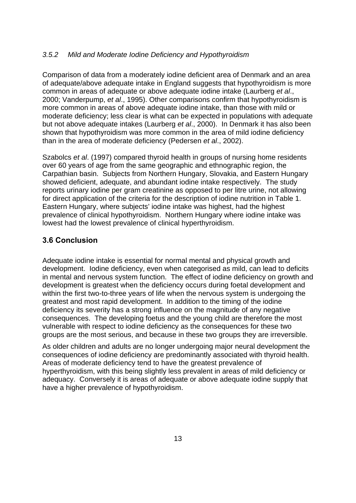#### *3.5.2 Mild and Moderate Iodine Deficiency and Hypothyroidism*

Comparison of data from a moderately iodine deficient area of Denmark and an area of adequate/above adequate intake in England suggests that hypothyroidism is more common in areas of adequate or above adequate iodine intake (Laurberg *et al*., 2000; Vanderpump, *et al*., 1995). Other comparisons confirm that hypothyroidism is more common in areas of above adequate iodine intake, than those with mild or moderate deficiency; less clear is what can be expected in populations with adequate but not above adequate intakes (Laurberg *et al*., 2000). In Denmark it has also been shown that hypothyroidism was more common in the area of mild iodine deficiency than in the area of moderate deficiency (Pedersen *et al*., 2002).

Szabolcs *et al*. (1997) compared thyroid health in groups of nursing home residents over 60 years of age from the same geographic and ethnographic region, the Carpathian basin. Subjects from Northern Hungary, Slovakia, and Eastern Hungary showed deficient, adequate, and abundant iodine intake respectively. The study reports urinary iodine per gram creatinine as opposed to per litre urine, not allowing for direct application of the criteria for the description of iodine nutrition in Table 1. Eastern Hungary, where subjects' iodine intake was highest, had the highest prevalence of clinical hypothyroidism. Northern Hungary where iodine intake was lowest had the lowest prevalence of clinical hyperthyroidism.

### **3.6 Conclusion**

Adequate iodine intake is essential for normal mental and physical growth and development. Iodine deficiency, even when categorised as mild, can lead to deficits in mental and nervous system function. The effect of iodine deficiency on growth and development is greatest when the deficiency occurs during foetal development and within the first two-to-three years of life when the nervous system is undergoing the greatest and most rapid development. In addition to the timing of the iodine deficiency its severity has a strong influence on the magnitude of any negative consequences. The developing foetus and the young child are therefore the most vulnerable with respect to iodine deficiency as the consequences for these two groups are the most serious, and because in these two groups they are irreversible.

As older children and adults are no longer undergoing major neural development the consequences of iodine deficiency are predominantly associated with thyroid health. Areas of moderate deficiency tend to have the greatest prevalence of hyperthyroidism, with this being slightly less prevalent in areas of mild deficiency or adequacy. Conversely it is areas of adequate or above adequate iodine supply that have a higher prevalence of hypothyroidism.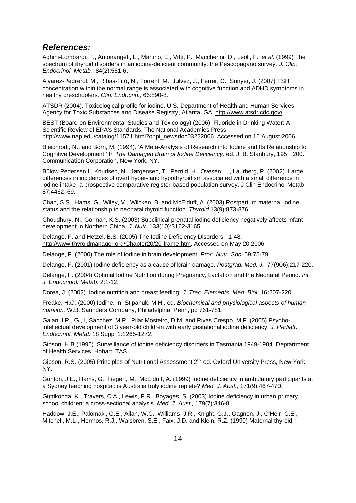#### *References:*

Aghini-Lombardi, F., Antonangeli, L., Martino, E., Vitti, P., Maccherini, D., Leoli, F., *et al.* (1999) The spectrum of thyroid disorders in an iodine-deficient community: the Pescopagano survey. *J. Clin. Endocrinol. Metab.*, 84(2):561-6.

Alvarez-Pedrerol, M., Ribas-Fitó, N., Torrent, M., Julvez, J., Ferrer, C., Sunyer, J. (2007) TSH concentration within the normal range is associated with cognitive function and ADHD symptoms in healthy preschoolers. *Clin. Endocrin.*, 66:890-8.

ATSDR (2004). Toxicological profile for iodine. U.S. Department of Health and Human Services, Agency for Toxic Substances and Disease Registry, Atlanta, GA. http://www.atsdr.cdc.gov/

BEST (Board on Environmental Studies and Toxicology) (2006). Fluoride in Drinking Water: A Scientific Review of EPA's Standards, The National Academies Press. http://www.nap.edu/catalog/11571.html?onpi\_newsdoc03222006. Accessed on 16 August 2006

Bleichrodt, N., and Born, M. (1994). 'A Meta-Analysis of Research into Iodine and Its Relationship to Cognitive Development.' In *The Damaged Brain of Iodine Deficiency,* ed. J. B. Stanbury, 195 200. Communication Corporation, New York, NY.

Bülow Pedersen I., Knudsen, N., Jørgensen, T., Perrild, H., Ovesen, L., Laurberg, P. (2002). Large differences in incidences of overt hyper- and hypothyroidism associated with a small difference in iodine intake; a prospective comparative register-based population survey. J Clin Endocrinol Metab 87:4462–69.

Chan, S.S., Hams, G., Wiley, V., Wilcken, B. and McElduff, A. (2003) Postpartum maternal iodine status and the relationship to neonatal thyroid function. *Thyroid* 13(9):873-876.

Choudhury, N., Gorman, K.S. (2003) Subclinical prenatal iodine deficiency negatively affects infant development in Northern China. *J. Nutr.* 133(10):3162-3165.

Delange, F. and Hetzel, B.S. (2005) The Iodine Deficiency Disorders. 1-48. http://www.thyroidmanager.org/Chapter20/20-frame.htm. Accessed on May 20 2006.

Delange, F. (2000) The role of iodine in brain development. *Proc. Nutr. Soc.* 59**:**75-79

Delange, F. (2001) Iodine deficiency as a cause of brain damage. *Postgrad. Med. J.* 77(906):217-220.

Delange, F. (2004) Optimal Iodine Nutrition during Pregnancy, Lactation and the Neonatal Period. *Int. J. Endocrinol. Metab*. 2:1-12.

Dorea, J. (2002). Iodine nutrition and breast feeding. *J. Trac. Elements. Med. Biol.* 16**:**207-220

Freake, H.C. (2000) Iodine. In: Stipanuk, M.H., ed. *Biochemical and physiological aspects of human nutrition.* W.B. Saunders Company, Philadelphia, Penn, pp 761-781.

Galan, I.R., G., I, Sanchez, M.P., Pilar Mosteiro, D.M. and Rivas Crespo, M.F. (2005) Psychointellectual development of 3 year-old children with early gestational iodine deficiency. *J. Pediatr. Endocrinol. Metab* 18 Suppl 1:1265-1272.

Gibson, H.B (1995). Surveillance of iodine deficiency disorders in Tasmania 1949-1984. Deptartment of Health Services, Hobart, TAS.

Gibson, R.S. (2005) Principles of Nutritional Assessment 2<sup>nd</sup> ed. Oxford University Press, New York, NY.

Gunton, J.E., Hams, G., Fiegert, M., McElduff, A. (1999) Iodine deficiency in ambulatory participants at a Sydney teaching hospital: is Australia truly iodine replete? *Med. J. Aust.,* 171(9):467-470.

Guttikonda, K., Travers, C.A., Lewis, P.R., Boyages, S. (2003) Iodine deficiency in urban primary school children: a cross-sectional analysis. *Med. J. Aust.,* 179(7):346-8.

Haddow, J.E., Palomaki, G.E., Allan, W.C., Williams, J.R., Knight, G.J., Gagnon, J., O'Heir, C.E., Mitchell, M.L., Hermos, R.J., Waisbren, S.E., Faix, J.D. and Klein, R.Z. (1999) Maternal thyroid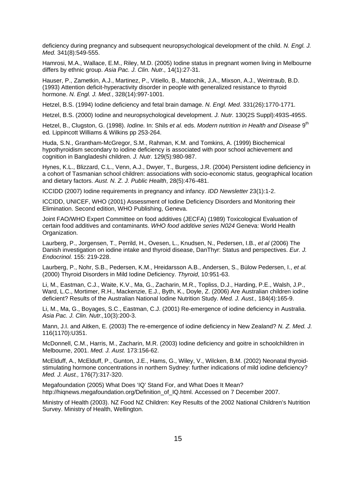deficiency during pregnancy and subsequent neuropsychological development of the child. *N. Engl. J. Med.* 341(8):549-555.

Hamrosi, M.A., Wallace, E.M., Riley, M.D. (2005) Iodine status in pregnant women living in Melbourne differs by ethnic group. *Asia Pac. J. Clin. Nutr.,* 14(1):27-31.

Hauser, P., Zametkin, A.J., Martinez, P., Vitiello, B., Matochik, J.A., Mixson, A.J., Weintraub, B.D. (1993) Attention deficit-hyperactivity disorder in people with generalized resistance to thyroid hormone. *N. Engl. J. Med.*, 328(14):997-1001.

Hetzel, B.S. (1994) Iodine deficiency and fetal brain damage. *N. Engl. Med.* 331(26):1770-1771.

Hetzel, B.S. (2000) Iodine and neuropsychological development. *J. Nutr.* 130(2S Suppl):493S-495S.

Hetzel, B., Clugston, G. (1998). *Iodine.* In: Shils *et al.* eds. *Modern nutrition in Health and Disease* 9th ed*.* Lippincott Williams & Wilkins pp 253-264.

Huda, S.N., Grantham-McGregor, S.M., Rahman, K.M. and Tomkins, A. (1999) Biochemical hypothyroidism secondary to iodine deficiency is associated with poor school achievement and cognition in Bangladeshi children. *J. Nutr.* 129(5):980-987.

Hynes, K.L., Blizzard, C.L., Venn, A.J., Dwyer, T., Burgess, J.R. (2004) Persistent iodine deficiency in a cohort of Tasmanian school children: associations with socio-economic status, geographical location and dietary factors. *Aust. N. Z. J. Public Health*, 28(5):476-481.

ICCIDD (2007) Iodine requirements in pregnancy and infancy. *IDD Newsletter* 23(1):1-2.

ICCIDD, UNICEF, WHO (2001) Assessment of Iodine Deficiency Disorders and Monitoring their Elimination. Second edition, WHO Publishing, Geneva.

Joint FAO/WHO Expert Committee on food additives (JECFA) (1989) Toxicological Evaluation of certain food additives and contaminants. *WHO food additive series N024* Geneva: World Health Organization.

Laurberg, P., Jorgensen, T., Perrild, H., Ovesen, L., Knudsen, N., Pedersen, I.B., *et al* (2006) The Danish investigation on iodine intake and thyroid disease, DanThyr: Status and perspectives. *Eur. J. Endocrinol.* 155: 219-228.

Laurberg, P., Nohr, S.B., Pedersen, K.M., Hreidarsson A.B., Andersen, S., Bülow Pedersen, I., *et al.* (2000) Thyroid Disorders in Mild Iodine Deficiency. *Thyroid*, 10:951-63.

Li, M., Eastman, C.J., Waite, K.V., Ma, G., Zacharin, M.R., Topliss, D.J., Harding, P.E., Walsh, J.P., Ward, L.C., Mortimer, R.H., Mackenzie, E.J., Byth, K., Doyle, Z. (2006) Are Australian children iodine deficient? Results of the Australian National Iodine Nutrition Study. *Med. J. Aust.,* 184(4):165-9.

Li, M., Ma, G., Boyages, S.C., Eastman, C.J. (2001) Re-emergence of iodine deficiency in Australia. *Asia Pac. J. Clin. Nutr.,*10(3):200-3.

Mann, J.I. and Aitken, E. (2003) The re-emergence of iodine deficiency in New Zealand? *N. Z. Med. J.*  116(1170):U351.

McDonnell, C.M., Harris, M., Zacharin, M.R. (2003) Iodine deficiency and goitre in schoolchildren in Melbourne, 2001. *Med. J. Aust.* 173:156-62.

McElduff, A., McElduff, P., Gunton, J.E., Hams, G., Wiley, V., Wilcken, B.M. (2002) Neonatal thyroidstimulating hormone concentrations in northern Sydney: further indications of mild iodine deficiency? *Med. J. Aust.,* 176(7):317-320.

Megafoundation (2005) What Does 'IQ' Stand For, and What Does It Mean? http://hignews.megafoundation.org/Definition\_of\_IQ.html. Accessed on 7 December 2007.

Ministry of Health (2003). NZ Food NZ Children: Key Results of the 2002 National Children's Nutrition Survey. Ministry of Health, Wellington.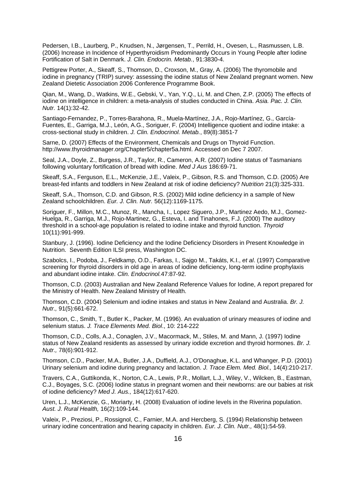Pedersen, I.B., Laurberg, P., Knudsen, N., Jørgensen, T., Perrild, H., Ovesen, L., Rasmussen, L.B. (2006) Increase in Incidence of Hyperthyroidism Predominantly Occurs in Young People after Iodine Fortification of Salt in Denmark. *J. Clin. Endocrin. Metab.*, 91:3830-4.

Pettigrew Porter, A., Skeaff, S., Thomson, D., Croxson, M., Gray, A. (2006) The thyromobile and iodine in pregnancy (TRIP) survey: assessing the iodine status of New Zealand pregnant women. New Zealand Dietetic Association 2006 Conference Programme Book.

Qian, M., Wang, D., Watkins, W.E., Gebski, V., Yan, Y.Q., Li, M. and Chen, Z.P. (2005) The effects of iodine on intelligence in children: a meta-analysis of studies conducted in China. *Asia. Pac. J. Clin. Nutr.* 14(1):32-42.

Santiago-Fernandez, P., Torres-Barahona, R., Muela-Martínez, J.A., Rojo-Martínez, G., García-Fuentes, E., Garriga, M.J., León, A.G., Soriguer, F. (2004) Intelligence quotient and iodine intake: a cross-sectional study in children. *J. Clin. Endocrinol. Metab.*, 89(8):3851-7

Sarne, D. (2007) Effects of the Environment, Chemicals and Drugs on Thyroid Function. http://www.thyroidmanager.org/Chapter5/chapter5a.html. Accessed on Dec 7 2007.

Seal, J.A., Doyle, Z., Burgess, J.R., Taylor, R., Cameron, A.R. (2007) Iodine status of Tasmanians following voluntary fortification of bread with iodine. *Med J Aus* 186:69-71.

Skeaff, S.A., Ferguson, E.L., McKenzie, J.E., Valeix, P., Gibson, R.S. and Thomson, C.D. (2005) Are breast-fed infants and toddlers in New Zealand at risk of iodine deficiency? *Nutrition* 21(3):325-331.

Skeaff, S.A., Thomson, C.D. and Gibson, R.S. (2002) Mild iodine deficiency in a sample of New Zealand schoolchildren. *Eur. J. Clin. Nutr.* 56(12):1169-1175.

Soriguer, F., Millon, M.C., Munoz, R., Mancha, I., Lopez Siguero, J.P., Martinez Aedo, M.J., Gomez-Huelga, R., Garriga, M.J., Rojo-Martinez, G., Esteva, I. and Tinahones, F.J. (2000) The auditory threshold in a school-age population is related to iodine intake and thyroid function. *Thyroid*  10(11):991-999.

Stanbury, J. (1996). Iodine Deficiency and the Iodine Deficiency Disorders in Present Knowledge in Nutrition. Seventh Edition ILSI press, Washington DC.

Szabolcs, I., Podoba, J., Feldkamp, O.D., Farkas, I., Sajgo M., Takáts, K.I., *et al*. (1997) Comparative screening for thyroid disorders in old age in areas of iodine deficiency, long-term iodine prophylaxis and abundant iodine intake. *Clin. Endocrinol.*47:87-92.

Thomson, C.D. (2003) Australian and New Zealand Reference Values for Iodine, A report prepared for the Ministry of Health. New Zealand Ministry of Health.

Thomson, C.D. (2004) Selenium and iodine intakes and status in New Zealand and Australia. *Br. J. Nutr.,* 91(5):661-672.

Thomson, C., Smith, T., Butler K., Packer, M. (1996). An evaluation of urinary measures of iodine and selenium status. *J. Trace Elements Med. Biol*., 10: 214-222

Thomson, C.D., Colls, A.J., Conaglen, J.V., Macormack, M., Stiles, M. and Mann, J. (1997) Iodine status of New Zealand residents as assessed by urinary iodide excretion and thyroid hormones. *Br. J. Nutr.,* 78(6):901-912.

Thomson, C.D., Packer, M.A., Butler, J.A., Duffield, A.J., O'Donaghue, K.L. and Whanger, P.D. (2001) Urinary selenium and iodine during pregnancy and lactation. *J. Trace Elem. Med. Biol.,* 14(4):210-217.

Travers, C.A., Guttikonda, K., Norton, C.A., Lewis, P.R., Mollart, L.J., Wiley, V., Wilcken, B., Eastman, C.J., Boyages, S.C. (2006) Iodine status in pregnant women and their newborns: are our babies at risk of iodine deficiency? *Med J. Aus.,* 184(12):617-620.

Uren, L.J., McKenzie, G., Moriarty, H. (2008) Evaluation of iodine levels in the Riverina population. *Aust. J. Rural Health,* 16(2):109-144.

Valeix, P., Preziosi, P., Rossignol, C., Farnier, M.A. and Hercberg, S. (1994) Relationship between urinary iodine concentration and hearing capacity in children. *Eur. J. Clin. Nutr.,* 48(1):54-59.